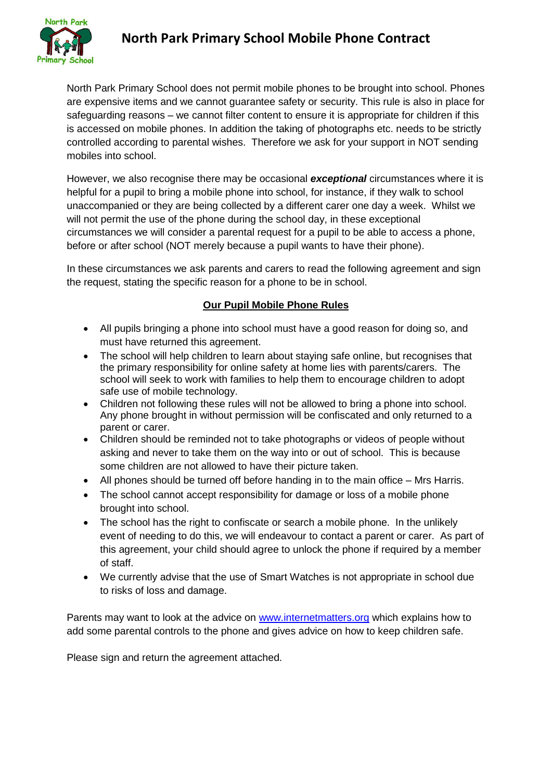

# **North Park Primary School Mobile Phone Contract**

North Park Primary School does not permit mobile phones to be brought into school. Phones are expensive items and we cannot guarantee safety or security. This rule is also in place for safeguarding reasons – we cannot filter content to ensure it is appropriate for children if this is accessed on mobile phones. In addition the taking of photographs etc. needs to be strictly controlled according to parental wishes. Therefore we ask for your support in NOT sending mobiles into school.

However, we also recognise there may be occasional *exceptional* circumstances where it is helpful for a pupil to bring a mobile phone into school, for instance, if they walk to school unaccompanied or they are being collected by a different carer one day a week. Whilst we will not permit the use of the phone during the school day, in these exceptional circumstances we will consider a parental request for a pupil to be able to access a phone, before or after school (NOT merely because a pupil wants to have their phone).

In these circumstances we ask parents and carers to read the following agreement and sign the request, stating the specific reason for a phone to be in school.

## **Our Pupil Mobile Phone Rules**

- All pupils bringing a phone into school must have a good reason for doing so, and must have returned this agreement.
- The school will help children to learn about staying safe online, but recognises that the primary responsibility for online safety at home lies with parents/carers. The school will seek to work with families to help them to encourage children to adopt safe use of mobile technology.
- Children not following these rules will not be allowed to bring a phone into school. Any phone brought in without permission will be confiscated and only returned to a parent or carer.
- Children should be reminded not to take photographs or videos of people without asking and never to take them on the way into or out of school. This is because some children are not allowed to have their picture taken.
- All phones should be turned off before handing in to the main office Mrs Harris.
- The school cannot accept responsibility for damage or loss of a mobile phone brought into school.
- The school has the right to confiscate or search a mobile phone. In the unlikely event of needing to do this, we will endeavour to contact a parent or carer. As part of this agreement, your child should agree to unlock the phone if required by a member of staff.
- We currently advise that the use of Smart Watches is not appropriate in school due to risks of loss and damage.

Parents may want to look at the advice on [www.internetmatters.org](http://www.internetmatters.org/) which explains how to add some parental controls to the phone and gives advice on how to keep children safe.

Please sign and return the agreement attached.